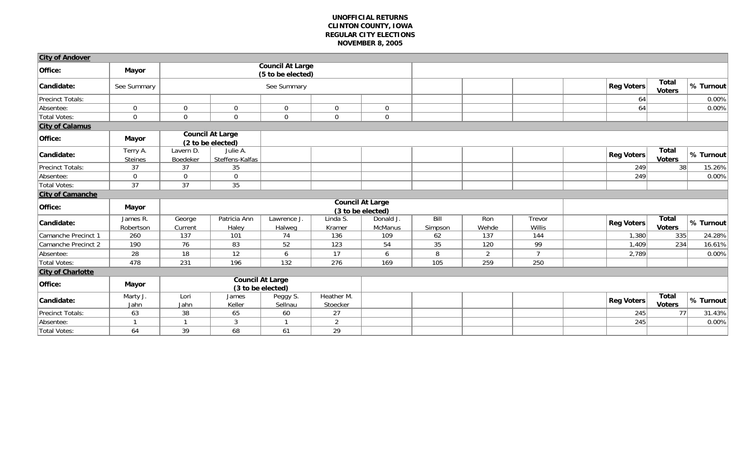| <b>City of Andover</b>   |                            |                                              |                                              |                                              |                        |                         |                 |              |                  |                   |                               |           |
|--------------------------|----------------------------|----------------------------------------------|----------------------------------------------|----------------------------------------------|------------------------|-------------------------|-----------------|--------------|------------------|-------------------|-------------------------------|-----------|
| Office:                  | <b>Mayor</b>               |                                              |                                              | <b>Council At Large</b><br>(5 to be elected) |                        |                         |                 |              |                  |                   |                               |           |
| Candidate:               | See Summary                |                                              |                                              | See Summary                                  |                        |                         |                 |              |                  | <b>Reg Voters</b> | <b>Total</b><br><b>Voters</b> | % Turnout |
| Precinct Totals:         |                            |                                              |                                              |                                              |                        |                         |                 |              |                  | 64                |                               | 0.00%     |
| Absentee:                | $\mathbf 0$                | $\mathbf 0$                                  | $\mathbf 0$                                  | $\overline{0}$                               | $\mathbf 0$            | $\mathbf 0$             |                 |              |                  | 64                |                               | 0.00%     |
| Total Votes:             | $\mathbf 0$                | $\mathbf 0$                                  | $\mathbf 0$                                  | $\overline{0}$                               | $\mathbf 0$            | $\mathbf 0$             |                 |              |                  |                   |                               |           |
| <b>City of Calamus</b>   |                            |                                              |                                              |                                              |                        |                         |                 |              |                  |                   |                               |           |
| Office:                  | <b>Mayor</b>               |                                              | <b>Council At Large</b><br>(2 to be elected) |                                              |                        |                         |                 |              |                  |                   |                               |           |
| Candidate:               | Terry A.<br><b>Steines</b> | Lavern D.<br>Boedeker                        | Julie A.<br>Steffens-Kalfas                  |                                              |                        |                         |                 |              |                  | Reg Voters        | <b>Total</b><br><b>Voters</b> | % Turnout |
| Precinct Totals:         | 37                         | 37                                           | 35                                           |                                              |                        |                         |                 |              |                  | 249               | 38                            | 15.26%    |
| Absentee:                | $\mathbf 0$                | $\mathbf 0$                                  | $\mathbf 0$                                  |                                              |                        |                         |                 |              |                  | 249               |                               | 0.00%     |
| Total Votes:             | 37                         | 37                                           | 35                                           |                                              |                        |                         |                 |              |                  |                   |                               |           |
| <b>City of Camanche</b>  |                            |                                              |                                              |                                              |                        |                         |                 |              |                  |                   |                               |           |
| Office:                  | <b>Mayor</b>               |                                              |                                              |                                              |                        | <b>Council At Large</b> |                 |              |                  |                   |                               |           |
|                          |                            |                                              |                                              |                                              |                        | (3 to be elected)       |                 |              |                  |                   |                               |           |
| Candidate:               | James R.<br>Robertson      | George<br>Current                            | Patricia Ann<br>Haley                        | Lawrence J<br>Halweg                         | Linda S.<br>Kramer     | Donald J.<br>McManus    | Bill<br>Simpson | Ron<br>Wehde | Trevor<br>Willis | Reg Voters        | Total<br><b>Voters</b>        | % Turnout |
| Camanche Precinct 1      | 260                        | 137                                          | 101                                          | 74                                           | 136                    | 109                     | 62              | 137          | 144              | 1,380             | 335                           | 24.28%    |
| Camanche Precinct 2      | 190                        | 76                                           | 83                                           | 52                                           | 123                    | 54                      | 35              | 120          | 99               | 1,409             | 234                           | 16.61%    |
| Absentee:                | 28                         | 18                                           | 12                                           | 6                                            | 17                     | 6                       | 8               | 2            | $\overline{7}$   | 2,789             |                               | 0.00%     |
| Total Votes:             | 478                        | 231                                          | 196                                          | 132                                          | 276                    | 169                     | 105             | 259          | 250              |                   |                               |           |
| <b>City of Charlotte</b> |                            |                                              |                                              |                                              |                        |                         |                 |              |                  |                   |                               |           |
| Office:                  | <b>Mayor</b>               | <b>Council At Large</b><br>(3 to be elected) |                                              |                                              |                        |                         |                 |              |                  |                   |                               |           |
| Candidate:               | Marty J.<br>Jahn           | Lori<br>Jahn                                 | James<br>Keller                              | Peggy S.<br>Sellnau                          | Heather M.<br>Stoecker |                         |                 |              |                  | <b>Reg Voters</b> | <b>Total</b><br><b>Voters</b> | % Turnout |
| Precinct Totals:         | 63                         | 38                                           | 65                                           | 60                                           | 27                     |                         |                 |              |                  | $\overline{245}$  | 77                            | 31.43%    |
| Absentee:                |                            | $\mathbf{1}$                                 | 3                                            |                                              | $\overline{2}$         |                         |                 |              |                  | 245               |                               | 0.00%     |
| Total Votes:             | 64                         | 39                                           | 68                                           | 61                                           | 29                     |                         |                 |              |                  |                   |                               |           |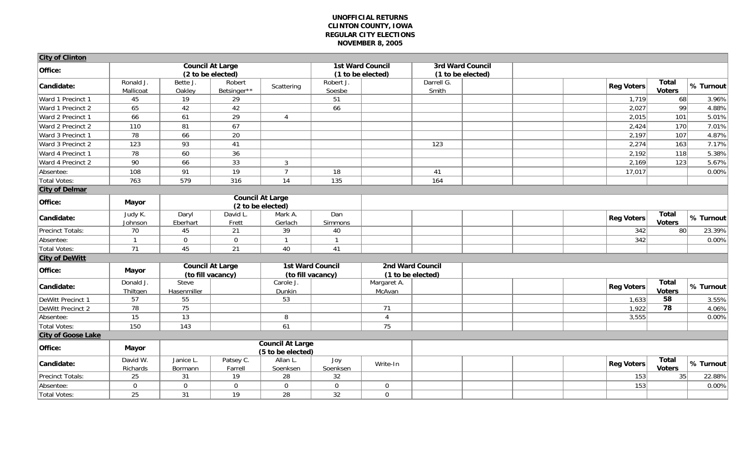| <b>City of Clinton</b>         |                        |                                                                    |                         |                                              |                         |                 |                         |  |                   |                               |                   |
|--------------------------------|------------------------|--------------------------------------------------------------------|-------------------------|----------------------------------------------|-------------------------|-----------------|-------------------------|--|-------------------|-------------------------------|-------------------|
| Office:                        |                        |                                                                    | <b>Council At Large</b> |                                              | <b>1st Ward Council</b> |                 | <b>3rd Ward Council</b> |  |                   |                               |                   |
|                                |                        |                                                                    | (2 to be elected)       |                                              | (1 to be elected)       |                 | (1 to be elected)       |  |                   |                               |                   |
| Candidate:                     | Ronald J.<br>Mallicoat | Bette J.<br>Oakley                                                 | Robert<br>Betsinger**   | Scattering                                   | Robert J.<br>Soesbe     |                 | Darrell G.<br>Smith     |  | <b>Reg Voters</b> | <b>Total</b><br><b>Voters</b> | % Turnout         |
| Ward 1 Precinct 1              | 45                     | $\overline{19}$                                                    | 29                      |                                              | 51                      |                 |                         |  | 1,719             | 68                            | 3.96%             |
| Ward 1 Precinct 2              | 65                     | 42                                                                 | 42                      |                                              | 66                      |                 |                         |  | 2,027             | $\overline{99}$               | 4.88%             |
| Ward 2 Precinct 1              | 66                     | 61                                                                 | 29                      | $\overline{4}$                               |                         |                 |                         |  | 2,015             | 101                           | 5.01%             |
| Ward 2 Precinct 2              | 110                    | 81                                                                 | 67                      |                                              |                         |                 |                         |  | 2,424             | 170                           | 7.01%             |
| Ward 3 Precinct 1              | 78                     | 66                                                                 | 20                      |                                              |                         |                 |                         |  | 2,197             | 107                           | 4.87%             |
| Ward 3 Precinct 2              | 123                    | 93                                                                 | 41                      |                                              |                         |                 | 123                     |  | 2,274             | 163                           | 7.17%             |
| Ward 4 Precinct 1              | 78                     | 60                                                                 | 36                      |                                              |                         |                 |                         |  | 2,192             | 118                           | 5.38%             |
| Ward 4 Precinct 2              | 90                     | 66                                                                 | 33                      | $\mathbf{3}$                                 |                         |                 |                         |  | 2,169             | 123                           | 5.67%             |
| Absentee:                      | 108                    | 91                                                                 | 19                      | $\overline{7}$                               | 18                      |                 | 41                      |  | 17,017            |                               | 0.00%             |
| Total Votes:                   | 763                    | 579                                                                | 316                     | 14                                           | $\overline{135}$        |                 | 164                     |  |                   |                               |                   |
| <b>City of Delmar</b>          |                        |                                                                    |                         |                                              |                         |                 |                         |  |                   |                               |                   |
| Office:                        | <b>Mayor</b>           |                                                                    |                         | <b>Council At Large</b><br>(2 to be elected) |                         |                 |                         |  |                   |                               |                   |
| Candidate:                     | Judy K.<br>Johnson     | Daryl<br>Eberhart                                                  | David L.<br>Frett       | Mark A.<br>Gerlach                           | Dan<br>Simmons          |                 |                         |  | <b>Reg Voters</b> | <b>Total</b><br><b>Voters</b> | % Turnout         |
| Precinct Totals:               | 70                     | 45                                                                 | 21                      | 39                                           | 40                      |                 |                         |  | 342               | 80                            | 23.39%            |
| Absentee:                      | $\overline{1}$         | $\overline{0}$                                                     | $\mathbf 0$             | $\mathbf{1}$                                 | $\overline{1}$          |                 |                         |  | 342               |                               | $0.00\%$          |
| Total Votes:                   | 71                     | 45                                                                 | 21                      | 40                                           | 41                      |                 |                         |  |                   |                               |                   |
| <b>City of DeWitt</b>          |                        |                                                                    |                         |                                              |                         |                 |                         |  |                   |                               |                   |
| Office:                        |                        | <b>1st Ward Council</b><br><b>Council At Large</b><br><b>Mayor</b> |                         |                                              |                         |                 | <b>2nd Ward Council</b> |  |                   |                               |                   |
|                                |                        |                                                                    | (to fill vacancy)       |                                              | (to fill vacancy)       |                 | (1 to be elected)       |  |                   |                               |                   |
| Candidate:                     | Donald J.              | <b>Steve</b>                                                       |                         | Carole J.                                    |                         | Margaret A.     |                         |  | <b>Reg Voters</b> | <b>Total</b>                  | % Turnout         |
|                                | Thiltgen               | Hasenmiller<br>55                                                  |                         | Dunkin<br>53                                 |                         | McAvan          |                         |  |                   | <b>Voters</b><br>58           |                   |
| DeWitt Precinct 1              | 57<br>$\overline{78}$  | $\overline{75}$                                                    |                         |                                              |                         | 71              |                         |  | 1,633             | $\overline{78}$               | 3.55%             |
| DeWitt Precinct 2<br>Absentee: | $\overline{15}$        | $\overline{13}$                                                    |                         | 8                                            |                         | $\overline{4}$  |                         |  | 1,922<br>3,555    |                               | 4.06%<br>$0.00\%$ |
| <b>Total Votes:</b>            | $\overline{150}$       | $\overline{143}$                                                   |                         | 61                                           |                         | $\overline{75}$ |                         |  |                   |                               |                   |
| <b>City of Goose Lake</b>      |                        |                                                                    |                         |                                              |                         |                 |                         |  |                   |                               |                   |
|                                |                        |                                                                    |                         | <b>Council At Large</b>                      |                         |                 |                         |  |                   |                               |                   |
| Office:                        | <b>Mayor</b>           | (5 to be elected)                                                  |                         |                                              |                         |                 |                         |  |                   |                               |                   |
| Candidate:                     | David W.<br>Richards   | Janice L.<br>Bormann                                               | Patsey C.<br>Farrell    | Allan L.<br>Soenksen                         | Joy<br>Soenksen         | Write-In        |                         |  | <b>Reg Voters</b> | <b>Total</b><br><b>Voters</b> | % Turnout         |
| Precinct Totals:               | 25                     | 31                                                                 | 19                      | 28                                           | 32                      |                 |                         |  | 153               | 35                            | 22.88%            |
| Absentee:                      | $\overline{0}$         | $\overline{0}$                                                     | $\mathbf 0$             | $\overline{0}$                               | $\mathbf 0$             | $\overline{0}$  |                         |  | 153               |                               | 0.00%             |
| Total Votes:                   | 25                     | 31                                                                 | 19                      | 28                                           | 32                      | $\overline{0}$  |                         |  |                   |                               |                   |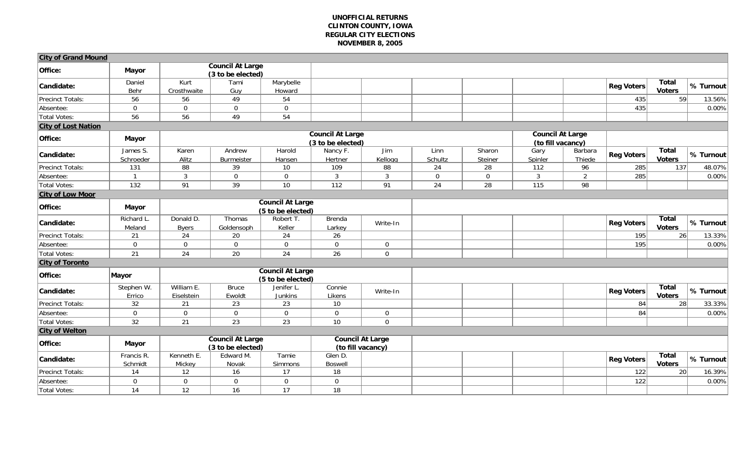| <b>City of Grand Mound</b> |                       |                           |                                              |                                              |                           |                                              |                 |                                              |                 |                   |                   |                               |           |
|----------------------------|-----------------------|---------------------------|----------------------------------------------|----------------------------------------------|---------------------------|----------------------------------------------|-----------------|----------------------------------------------|-----------------|-------------------|-------------------|-------------------------------|-----------|
| Office:                    | <b>Mayor</b>          |                           | <b>Council At Large</b><br>(3 to be elected) |                                              |                           |                                              |                 |                                              |                 |                   |                   |                               |           |
| Candidate:                 | Daniel<br>Behr        | Kurt<br>Crosthwaite       | Tami<br>Guy                                  | Marybelle<br>Howard                          |                           |                                              |                 |                                              |                 |                   | <b>Reg Voters</b> | <b>Total</b><br><b>Voters</b> | % Turnout |
| <b>Precinct Totals:</b>    | 56                    | 56                        | 49                                           | 54                                           |                           |                                              |                 |                                              |                 |                   | 435               | $\overline{59}$               | 13.56%    |
| Absentee:                  | $\overline{0}$        | $\mathbf 0$               | $\boldsymbol{0}$                             | $\mathbf 0$                                  |                           |                                              |                 |                                              |                 |                   | 435               |                               | 0.00%     |
| <b>Total Votes:</b>        | $\overline{56}$       | 56                        | $\overline{49}$                              | 54                                           |                           |                                              |                 |                                              |                 |                   |                   |                               |           |
| <b>City of Lost Nation</b> |                       |                           |                                              |                                              |                           |                                              |                 |                                              |                 |                   |                   |                               |           |
| Office:                    | <b>Mayor</b>          |                           | <b>Council At Large</b><br>(3 to be elected) |                                              |                           |                                              |                 | <b>Council At Large</b><br>(to fill vacancy) |                 |                   |                   |                               |           |
| Candidate:                 | James S.<br>Schroeder | Karen<br>Alitz            | Andrew<br>Burmeister                         | Harold<br>Hansen                             | Nancy F.<br>Hertner       | Jim<br>Kellogg                               | Linn<br>Schultz | Sharon<br>Steiner                            | Gary<br>Spinler | Barbara<br>Thiede | <b>Reg Voters</b> | <b>Total</b><br><b>Voters</b> | % Turnout |
| Precinct Totals:           | 131                   | 88                        | 39                                           | 10                                           | 109                       | 88                                           | 24              | 28                                           | 112             | 96                | 285               | 137                           | 48.07%    |
| Absentee:                  | $\overline{1}$        | $\mathbf{3}$              | $\mathbf 0$                                  | $\mathbf 0$                                  | $\mathbf{3}$              | $\mathbf{3}$                                 | $\mathbf 0$     | $\mathbf 0$                                  | $\mathbf{3}$    | $\overline{2}$    | 285               |                               | 0.00%     |
| Total Votes:               | $\frac{132}{ }$       | 91                        | 39                                           | 10                                           | 112                       | 91                                           | 24              | 28                                           | 115             | 98                |                   |                               |           |
| <b>City of Low Moor</b>    |                       |                           |                                              |                                              |                           |                                              |                 |                                              |                 |                   |                   |                               |           |
| Office:                    | <b>Mayor</b>          |                           |                                              | <b>Council At Large</b><br>(5 to be elected) |                           |                                              |                 |                                              |                 |                   |                   |                               |           |
| Candidate:                 | Richard L.<br>Meland  | Donald D.<br><b>Byers</b> | Thomas<br>Goldensoph                         | Robert T.<br>Keller                          | Brenda<br>Larkey          | Write-In                                     |                 |                                              |                 |                   | <b>Reg Voters</b> | <b>Total</b><br><b>Voters</b> | % Turnout |
| Precinct Totals:           | 21                    | 24                        | $20\,$                                       | 24                                           | 26                        |                                              |                 |                                              |                 |                   | $\overline{195}$  | 26                            | 13.33%    |
| Absentee:                  | $\mathbf 0$           | $\mathbf 0$               | $\mathbf 0$                                  | $\mathbf 0$                                  | $\overline{0}$            | $\mathbf{0}$                                 |                 |                                              |                 |                   | 195               |                               | 0.00%     |
| Total Votes:               | 21                    | 24                        | $\overline{20}$                              | 24                                           | 26                        | $\mathbf 0$                                  |                 |                                              |                 |                   |                   |                               |           |
| <b>City of Toronto</b>     |                       |                           |                                              |                                              |                           |                                              |                 |                                              |                 |                   |                   |                               |           |
| Office:                    | Mayor                 |                           |                                              | <b>Council At Large</b><br>(5 to be elected) |                           |                                              |                 |                                              |                 |                   |                   |                               |           |
| Candidate:                 | Stephen W.<br>Errico  | William E.<br>Eiselstein  | <b>Bruce</b><br>Ewoldt                       | Jenifer L<br><b>Junkins</b>                  | Connie<br>Likens          | Write-In                                     |                 |                                              |                 |                   | <b>Reg Voters</b> | <b>Total</b><br><b>Voters</b> | % Turnout |
| Precinct Totals:           | 32                    | 21                        | 23                                           | 23                                           | 10                        |                                              |                 |                                              |                 |                   | 84                | 28                            | 33.33%    |
| Absentee:                  | $\mathbf 0$           | $\boldsymbol{0}$          | $\boldsymbol{0}$                             | $\mathbf 0$                                  | $\overline{0}$            | $\mathbf{0}$                                 |                 |                                              |                 |                   | 84                |                               | 0.00%     |
| <b>Total Votes:</b>        | 32                    | $\overline{21}$           | $\overline{23}$                              | $\overline{23}$                              | 10                        | $\Omega$                                     |                 |                                              |                 |                   |                   |                               |           |
| <b>City of Welton</b>      |                       |                           |                                              |                                              |                           |                                              |                 |                                              |                 |                   |                   |                               |           |
| Office:                    | <b>Mayor</b>          |                           | <b>Council At Large</b><br>(3 to be elected) |                                              |                           | <b>Council At Large</b><br>(to fill vacancy) |                 |                                              |                 |                   |                   |                               |           |
| Candidate:                 | Francis R.<br>Schmidt | Kenneth E.<br>Mickey      | Edward M.<br>Novak                           | Tamie<br>Simmons                             | Glen D.<br><b>Boswell</b> |                                              |                 |                                              |                 |                   | <b>Reg Voters</b> | <b>Total</b><br><b>Voters</b> | % Turnout |
| Precinct Totals:           | 14                    | 12                        | 16                                           | 17                                           | 18                        |                                              |                 |                                              |                 |                   | 122               | 20                            | 16.39%    |
| Absentee:                  | $\mathbf 0$           | $\overline{0}$            | $\mathbf 0$                                  | $\mathbf 0$                                  | $\overline{0}$            |                                              |                 |                                              |                 |                   | 122               |                               | 0.00%     |
| Total Votes:               | 14                    | 12                        | 16                                           | 17                                           | 18                        |                                              |                 |                                              |                 |                   |                   |                               |           |